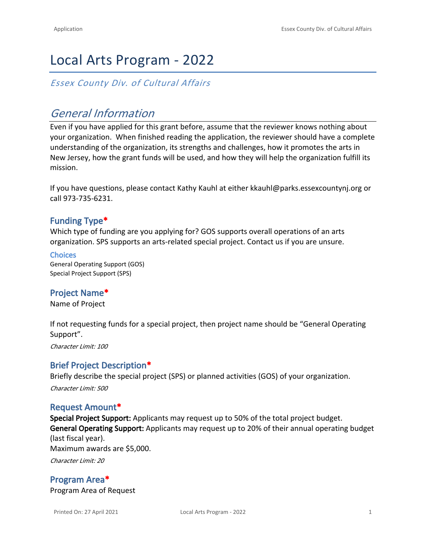# Local Arts Program - 2022

*Essex County Div. of Cultural Affairs*

# *General Information*

Even if you have applied for this grant before, assume that the reviewer knows nothing about your organization. When finished reading the application, the reviewer should have a complete understanding of the organization, its strengths and challenges, how it promotes the arts in New Jersey, how the grant funds will be used, and how they will help the organization fulfill its mission.

If you have questions, please contact Kathy Kauhl at either kkauhl@parks.essexcountynj.org or call 973-735-6231.

## **Funding Type\***

Which type of funding are you applying for? GOS supports overall operations of an arts organization. SPS supports an arts-related special project. Contact us if you are unsure.

#### **Choices** General Operating Support (GOS) Special Project Support (SPS)

## **Project Name\***

Name of Project

If not requesting funds for a special project, then project name should be "General Operating Support".

*Character Limit: 100*

### **Brief Project Description\***

Briefly describe the special project (SPS) or planned activities (GOS) of your organization. *Character Limit: 500*

### **Request Amount\***

**Special Project Support:** Applicants may request up to 50% of the total project budget. **General Operating Support:** Applicants may request up to 20% of their annual operating budget (last fiscal year). Maximum awards are \$5,000. *Character Limit: 20*

**Program Area\*** Program Area of Request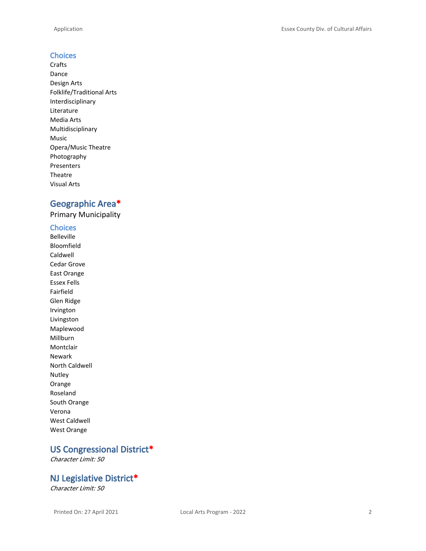### **Choices**

Crafts Dance Design Arts Folklife/Traditional Arts Interdisciplinary Literature Media Arts Multidisciplinary Music Opera/Music Theatre Photography Presenters Theatre Visual Arts

# **Geographic Area\***

Primary Municipality

### **Choices**

Belleville Bloomfield Caldwell Cedar Grove East Orange Essex Fells Fairfield Glen Ridge Irvington Livingston Maplewood Millburn Montclair Newark North Caldwell Nutley Orange Roseland South Orange Verona West Caldwell West Orange

# **US Congressional District\***

*Character Limit: 50*

## **NJ Legislative District\***

*Character Limit: 50*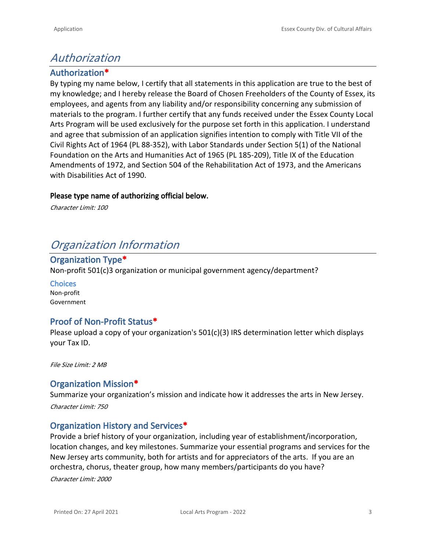# *Authorization*

# **Authorization\***

By typing my name below, I certify that all statements in this application are true to the best of my knowledge; and I hereby release the Board of Chosen Freeholders of the County of Essex, its employees, and agents from any liability and/or responsibility concerning any submission of materials to the program. I further certify that any funds received under the Essex County Local Arts Program will be used exclusively for the purpose set forth in this application. I understand and agree that submission of an application signifies intention to comply with Title VII of the Civil Rights Act of 1964 (PL 88-352), with Labor Standards under Section 5(1) of the National Foundation on the Arts and Humanities Act of 1965 (PL 185-209), Title IX of the Education Amendments of 1972, and Section 504 of the Rehabilitation Act of 1973, and the Americans with Disabilities Act of 1990.

### **Please type name of authorizing official below.**

*Character Limit: 100*

# *Organization Information*

## **Organization Type\***

Non-profit 501(c)3 organization or municipal government agency/department?

**Choices** Non-profit Government

## **Proof of Non-Profit Status\***

Please upload a copy of your organization's 501(c)(3) IRS determination letter which displays your Tax ID.

*File Size Limit: 2 MB*

## **Organization Mission\***

Summarize your organization's mission and indicate how it addresses the arts in New Jersey. *Character Limit: 750*

### **Organization History and Services\***

Provide a brief history of your organization, including year of establishment/incorporation, location changes, and key milestones. Summarize your essential programs and services for the New Jersey arts community, both for artists and for appreciators of the arts. If you are an orchestra, chorus, theater group, how many members/participants do you have?

*Character Limit: 2000*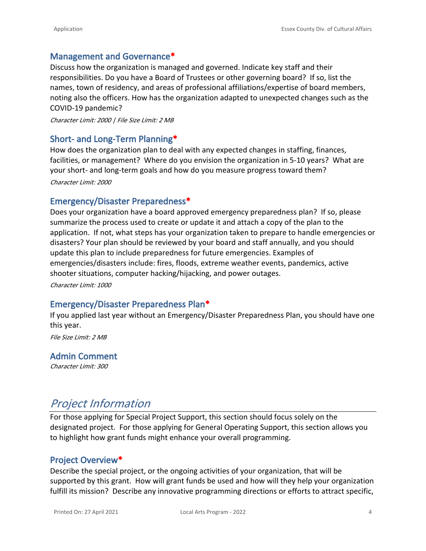## **Management and Governance\***

Discuss how the organization is managed and governed. Indicate key staff and their responsibilities. Do you have a Board of Trustees or other governing board? If so, list the names, town of residency, and areas of professional affiliations/expertise of board members, noting also the officers. How has the organization adapted to unexpected changes such as the COVID-19 pandemic?

*Character Limit: 2000 | File Size Limit: 2 MB*

### **Short- and Long-Term Planning\***

How does the organization plan to deal with any expected changes in staffing, finances, facilities, or management? Where do you envision the organization in 5-10 years? What are your short- and long-term goals and how do you measure progress toward them?

*Character Limit: 2000*

### **Emergency/Disaster Preparedness\***

Does your organization have a board approved emergency preparedness plan? If so, please summarize the process used to create or update it and attach a copy of the plan to the application. If not, what steps has your organization taken to prepare to handle emergencies or disasters? Your plan should be reviewed by your board and staff annually, and you should update this plan to include preparedness for future emergencies. Examples of emergencies/disasters include: fires, floods, extreme weather events, pandemics, active shooter situations, computer hacking/hijacking, and power outages.

*Character Limit: 1000*

### **Emergency/Disaster Preparedness Plan\***

If you applied last year without an Emergency/Disaster Preparedness Plan, you should have one this year.

*File Size Limit: 2 MB*

### **Admin Comment**

*Character Limit: 300*

# *Project Information*

For those applying for Special Project Support, this section should focus solely on the designated project. For those applying for General Operating Support, this section allows you to highlight how grant funds might enhance your overall programming.

### **Project Overview\***

Describe the special project, or the ongoing activities of your organization, that will be supported by this grant. How will grant funds be used and how will they help your organization fulfill its mission? Describe any innovative programming directions or efforts to attract specific,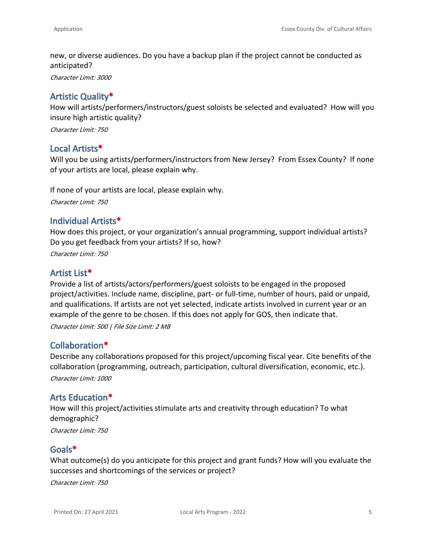new, or diverse audiences. Do you have a backup plan if the project cannot be conducted as anticipated?

*Character Limit: 3000*

## **Artistic Quality\***

How will artists/performers/instructors/guest soloists be selected and evaluated? How will you insure high artistic quality?

*Character Limit: 750*

### **Local Artists\***

Will you be using artists/performers/instructors from New Jersey? From Essex County? If none of your artists are local, please explain why.

If none of your artists are local, please explain why.

*Character Limit: 750*

### **Individual Artists\***

How does this project, or your organization's annual programming, support individual artists? Do you get feedback from your artists? If so, how?

*Character Limit: 750*

### **Artist List\***

Provide a list of artists/actors/performers/guest soloists to be engaged in the proposed project/activities. Include name, discipline, part- or full-time, number of hours, paid or unpaid, and qualifications. If artists are not yet selected, indicate artists involved in current year or an example of the genre to be chosen. If this does not apply for GOS, then indicate that.

*Character Limit: 500 | File Size Limit: 2 MB*

### **Collaboration\***

Describe any collaborations proposed for this project/upcoming fiscal year. Cite benefits of the collaboration (programming, outreach, participation, cultural diversification, economic, etc.). *Character Limit: 1000*

### **Arts Education\***

How will this project/activities stimulate arts and creativity through education? To what demographic?

*Character Limit: 750*

### **Goals\***

What outcome(s) do you anticipate for this project and grant funds? How will you evaluate the successes and shortcomings of the services or project?

*Character Limit: 750*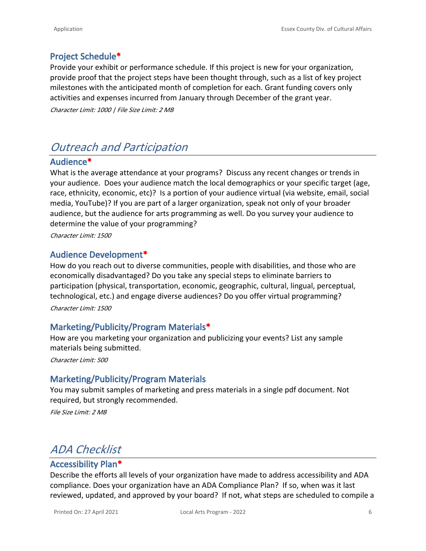# **Project Schedule\***

Provide your exhibit or performance schedule. If this project is new for your organization, provide proof that the project steps have been thought through, such as a list of key project milestones with the anticipated month of completion for each. Grant funding covers only activities and expenses incurred from January through December of the grant year.

*Character Limit: 1000 | File Size Limit: 2 MB*

# *Outreach and Participation*

## **Audience\***

What is the average attendance at your programs? Discuss any recent changes or trends in your audience. Does your audience match the local demographics or your specific target (age, race, ethnicity, economic, etc)? Is a portion of your audience virtual (via website, email, social media, YouTube)? If you are part of a larger organization, speak not only of your broader audience, but the audience for arts programming as well. Do you survey your audience to determine the value of your programming?

*Character Limit: 1500*

### **Audience Development\***

How do you reach out to diverse communities, people with disabilities, and those who are economically disadvantaged? Do you take any special steps to eliminate barriers to participation (physical, transportation, economic, geographic, cultural, lingual, perceptual, technological, etc.) and engage diverse audiences? Do you offer virtual programming? *Character Limit: 1500*

### **Marketing/Publicity/Program Materials\***

How are you marketing your organization and publicizing your events? List any sample materials being submitted.

*Character Limit: 500*

### **Marketing/Publicity/Program Materials**

You may submit samples of marketing and press materials in a single pdf document. Not required, but strongly recommended.

*File Size Limit: 2 MB*

# *ADA Checklist*

## **Accessibility Plan\***

Describe the efforts all levels of your organization have made to address accessibility and ADA compliance. Does your organization have an ADA Compliance Plan? If so, when was it last reviewed, updated, and approved by your board? If not, what steps are scheduled to compile a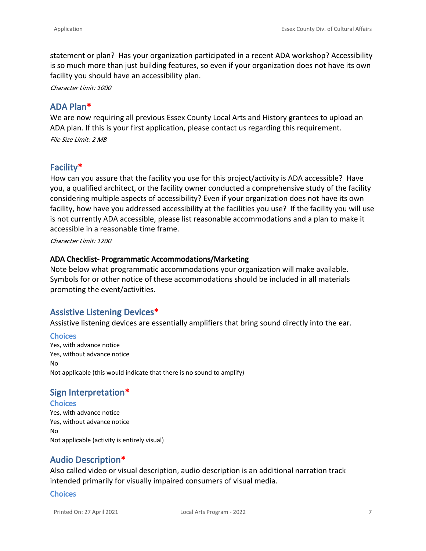statement or plan? Has your organization participated in a recent ADA workshop? Accessibility is so much more than just building features, so even if your organization does not have its own facility you should have an accessibility plan.

*Character Limit: 1000*

### **ADA Plan\***

We are now requiring all previous Essex County Local Arts and History grantees to upload an ADA plan. If this is your first application, please contact us regarding this requirement. *File Size Limit: 2 MB*

## **Facility\***

How can you assure that the facility you use for this project/activity is ADA accessible? Have you, a qualified architect, or the facility owner conducted a comprehensive study of the facility considering multiple aspects of accessibility? Even if your organization does not have its own facility, how have you addressed accessibility at the facilities you use? If the facility you will use is not currently ADA accessible, please list reasonable accommodations and a plan to make it accessible in a reasonable time frame.

*Character Limit: 1200*

### **ADA Checklist- Programmatic Accommodations/Marketing**

Note below what programmatic accommodations your organization will make available. Symbols for or other notice of these accommodations should be included in all materials promoting the event/activities.

### **Assistive Listening Devices\***

Assistive listening devices are essentially amplifiers that bring sound directly into the ear.

**Choices** Yes, with advance notice Yes, without advance notice No Not applicable (this would indicate that there is no sound to amplify)

### **Sign Interpretation\***

#### **Choices**

Yes, with advance notice Yes, without advance notice No Not applicable (activity is entirely visual)

### **Audio Description\***

Also called video or visual description, audio description is an additional narration track intended primarily for visually impaired consumers of visual media.

#### **Choices**

Printed On: 27 April 2021 Local Arts Program - 2022 7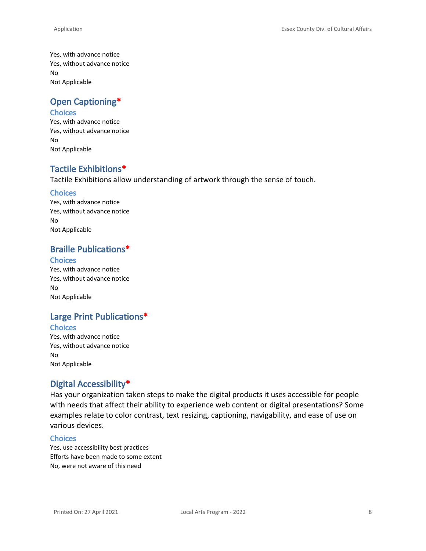Yes, with advance notice Yes, without advance notice No Not Applicable

# **Open Captioning\***

### **Choices**

Yes, with advance notice Yes, without advance notice No Not Applicable

# **Tactile Exhibitions\***

Tactile Exhibitions allow understanding of artwork through the sense of touch.

#### **Choices**

Yes, with advance notice Yes, without advance notice No Not Applicable

## **Braille Publications\***

#### **Choices**

Yes, with advance notice Yes, without advance notice No Not Applicable

# **Large Print Publications\***

#### **Choices**

Yes, with advance notice Yes, without advance notice No Not Applicable

## **Digital Accessibility\***

Has your organization taken steps to make the digital products it uses accessible for people with needs that affect their ability to experience web content or digital presentations? Some examples relate to color contrast, text resizing, captioning, navigability, and ease of use on various devices.

#### **Choices**

Yes, use accessibility best practices Efforts have been made to some extent No, were not aware of this need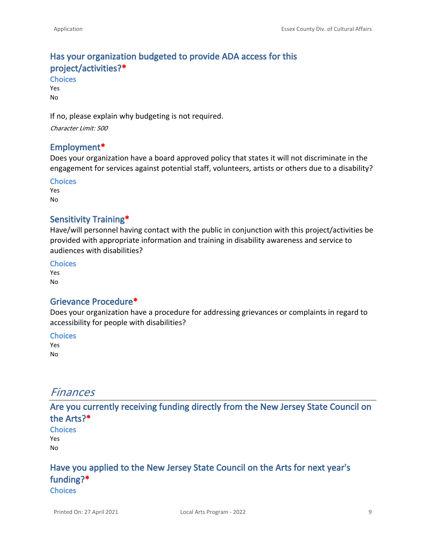# **Has your organization budgeted to provide ADA access for this project/activities?\***

**Choices** Yes No

If no, please explain why budgeting is not required.

*Character Limit: 500*

### **Employment\***

Does your organization have a board approved policy that states it will not discriminate in the engagement for services against potential staff, volunteers, artists or others due to a disability?

**Choices** Yes

No

### **Sensitivity Training\***

Have/will personnel having contact with the public in conjunction with this project/activities be provided with appropriate information and training in disability awareness and service to audiences with disabilities?

**Choices**

Yes No

### **Grievance Procedure\***

Does your organization have a procedure for addressing grievances or complaints in regard to accessibility for people with disabilities?

#### **Choices**

Yes No

# *Finances*

**Are you currently receiving funding directly from the New Jersey State Council on the Arts?\***

**Choices** Yes No

# **Have you applied to the New Jersey State Council on the Arts for next year's funding?\***

**Choices**